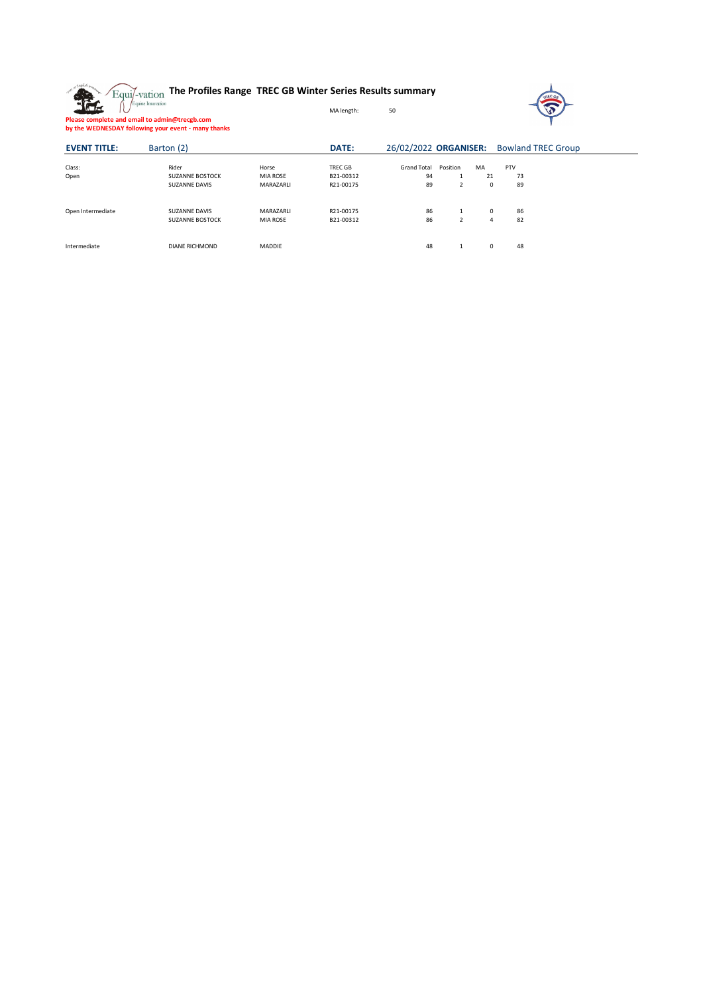**The Profiles Range TREC GB Winter Series Results summary** 雅



**Please complete and email to admin@trecgb.com by the WEDNESDAY following your event - many thanks**

| <b>EVENT TITLE:</b> | Barton (2)                      |                   | DATE:                |                          |                |                | 26/02/2022 ORGANISER: Bowland TREC Group |  |  |  |  |
|---------------------|---------------------------------|-------------------|----------------------|--------------------------|----------------|----------------|------------------------------------------|--|--|--|--|
| Class:<br>Open      | Rider<br><b>SUZANNE BOSTOCK</b> | Horse<br>MIA ROSE | TREC GB<br>B21-00312 | <b>Grand Total</b><br>94 | Position<br>л. | MA<br>21       | PTV<br>73                                |  |  |  |  |
|                     | <b>SUZANNE DAVIS</b>            | MARAZARLI         | R21-00175            | 89                       | $\overline{2}$ | 0              | 89                                       |  |  |  |  |
| Open Intermediate   | <b>SUZANNE DAVIS</b>            | MARAZARLI         | R21-00175            | 86                       |                | $\Omega$       | 86                                       |  |  |  |  |
|                     | <b>SUZANNE BOSTOCK</b>          | MIA ROSE          | B21-00312            | 86                       | $\overline{2}$ | $\overline{4}$ | 82                                       |  |  |  |  |
| Intermediate        | <b>DIANE RICHMOND</b>           | <b>MADDIE</b>     |                      | 48                       |                | 0              | 48                                       |  |  |  |  |

MA length: 50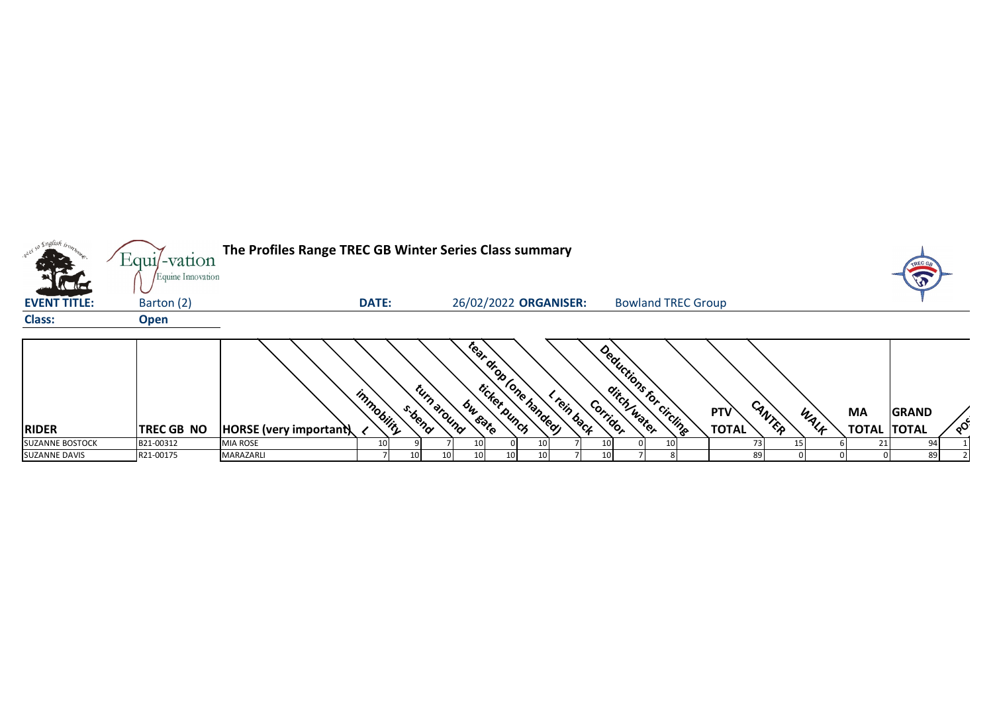|                        | $Equi$ -vation                  | The Profiles Range TREC GB Winter Series Class summary |                 |        |                                    |                                        |             |          |                           |                 |                     |        |      |                                 |              |          |
|------------------------|---------------------------------|--------------------------------------------------------|-----------------|--------|------------------------------------|----------------------------------------|-------------|----------|---------------------------|-----------------|---------------------|--------|------|---------------------------------|--------------|----------|
| <b>EVENT TITLE:</b>    | Equine Innovation<br>Barton (2) |                                                        | <b>DATE:</b>    |        |                                    | 26/02/2022 ORGANISER:                  |             |          | <b>Bowland TREC Group</b> |                 |                     |        |      |                                 | L            |          |
| <b>Class:</b>          | <b>Open</b>                     |                                                        |                 |        |                                    |                                        |             |          |                           |                 |                     |        |      |                                 |              |          |
| <b>RIDER</b>           | <b>TREC GB NO</b>               | HORSE (very important)                                 | immobility      | s.bend | turn around<br>bu <sub>rgate</sub> | Tear drop (one handed)<br>ticker.punch | < rein back | Corridor | Deductions for circling   |                 | PTV<br><b>TOTAL</b> | CANTER | WALK | <b>MA</b><br><b>TOTAL TOTAL</b> | <b>GRAND</b> | $\delta$ |
| <b>SUZANNE BOSTOCK</b> | B21-00312                       | MIA ROSE                                               | 10 <sub>l</sub> |        |                                    |                                        |             |          |                           | 10 <sub>l</sub> |                     |        |      |                                 | 94           |          |
| <b>SUZANNE DAVIS</b>   | R21-00175                       | MARAZARLI                                              |                 |        | 10                                 |                                        |             |          |                           |                 | 89                  |        |      |                                 | 89           |          |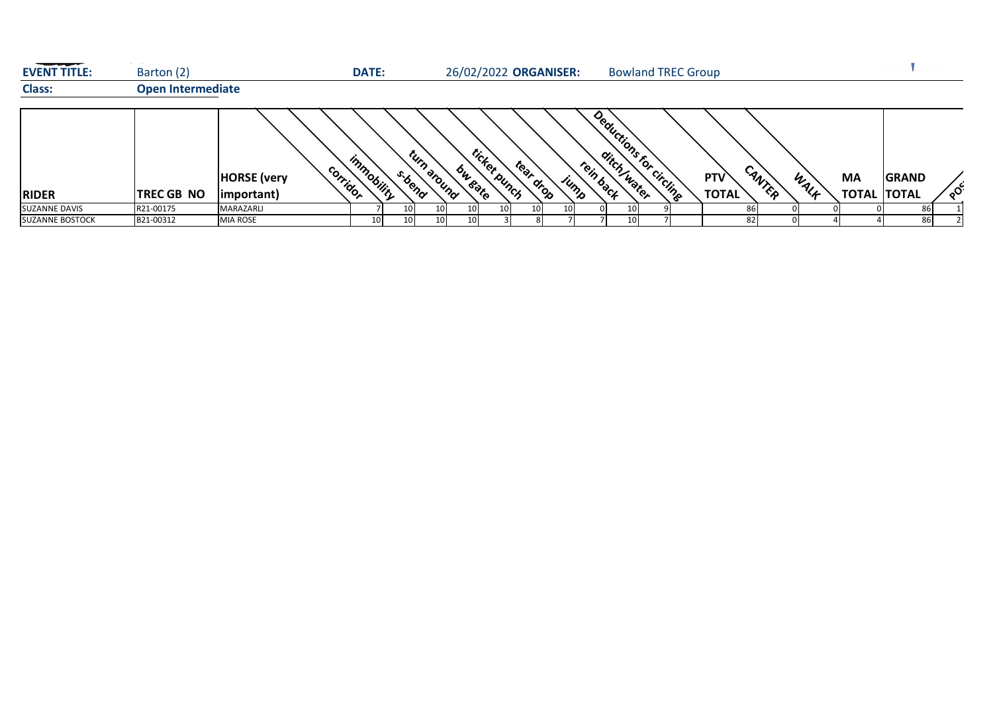| <b>EVENT TITLE:</b>    | Barton (2)               |                                                          | <b>DATE:</b> |                       |                    |              |           | 26/02/2022 ORGANISER: |           |      | <b>Bowland TREC Group</b> |                     |        |      |                                 |              |          |
|------------------------|--------------------------|----------------------------------------------------------|--------------|-----------------------|--------------------|--------------|-----------|-----------------------|-----------|------|---------------------------|---------------------|--------|------|---------------------------------|--------------|----------|
| <b>Class:</b>          | <b>Open Intermediate</b> |                                                          |              |                       |                    |              |           |                       |           |      |                           |                     |        |      |                                 |              |          |
| <b>RIDER</b>           | <b>TREC GB NO</b>        | co <sub>rridor</sub><br><b>HORSE</b> (very<br>important) | immobility   | turn around<br>s.bend | bu <sub>bote</sub> | ticker.punch | tear drop | JUMB                  | rein back |      | Deductions for circline   | PTV<br><b>TOTAL</b> | CANTER | WALK | <b>MA</b><br><b>TOTAL TOTAL</b> | <b>GRAND</b> | $\infty$ |
| SUZANNE DAVIS          | R21-00175                | <b>MARAZARLI</b>                                         |              | 10                    | 10                 | 10           | 10        | 10 <sup>1</sup>       |           | 10   |                           | 86                  |        |      |                                 | 86           |          |
| <b>SUZANNE BOSTOCK</b> | B21-00312                | <b>MIA ROSE</b>                                          | 10           | 10                    |                    |              |           |                       |           | 10 I |                           | 82                  |        |      |                                 | 86           |          |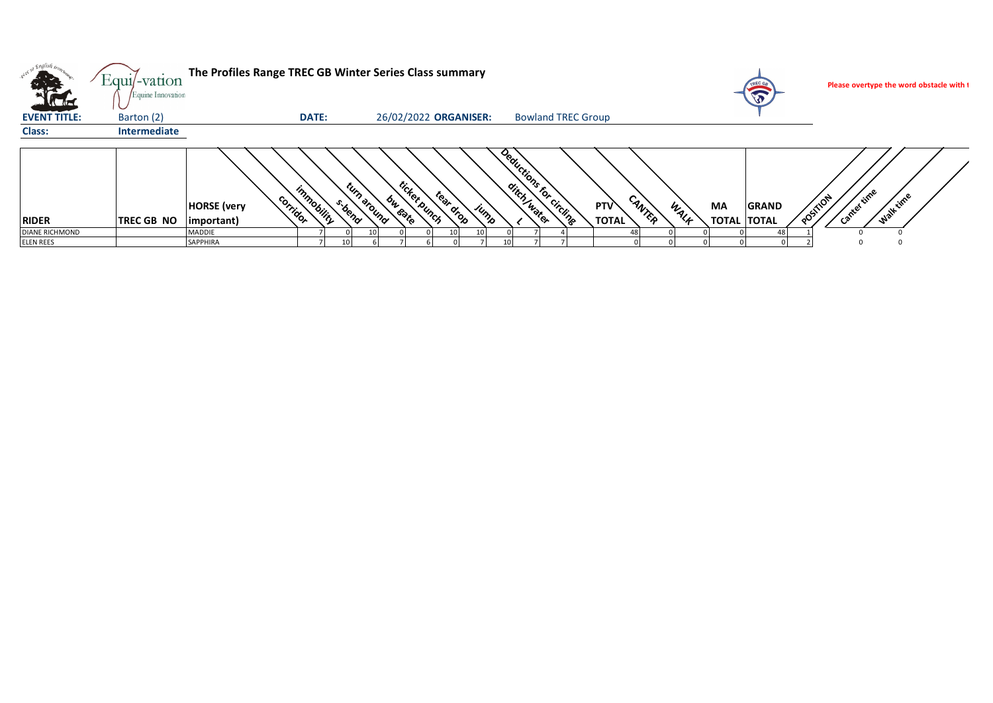| <b>STARTING</b>       | Equi/-vation<br>Equine Innovation |                                               |                              | The Profiles Range TREC GB Winter Series Class summary                    |                                                |                                                                   | Please overtype the word obstacle with t |
|-----------------------|-----------------------------------|-----------------------------------------------|------------------------------|---------------------------------------------------------------------------|------------------------------------------------|-------------------------------------------------------------------|------------------------------------------|
| <b>EVENT TITLE:</b>   | Barton (2)                        |                                               | <b>DATE:</b>                 | 26/02/2022 ORGANISER:                                                     | <b>Bowland TREC Group</b>                      |                                                                   |                                          |
| Class:                | Intermediate                      |                                               |                              |                                                                           |                                                |                                                                   |                                          |
| <b>RIDER</b>          | <b>TREC GB NO</b>                 | corridor<br><b>HORSE</b> (very<br>(important) | tyrp<br>Immobilir.<br>s-beno | ticker punch<br>tear drop<br>bu <sub>rsate</sub><br><b>Around</b><br>Jump | Deductions for circline<br>PTV<br><b>TOTAL</b> | CANTER<br><b>MA</b><br><b>GRAND</b><br>WALL<br><b>TOTAL TOTAL</b> | time<br>Walktime<br>POSITION             |
| <b>DIANE RICHMOND</b> |                                   | MADDIE                                        |                              |                                                                           |                                                |                                                                   |                                          |
| <b>ELEN REES</b>      |                                   | SAPPHIRA                                      |                              |                                                                           |                                                |                                                                   |                                          |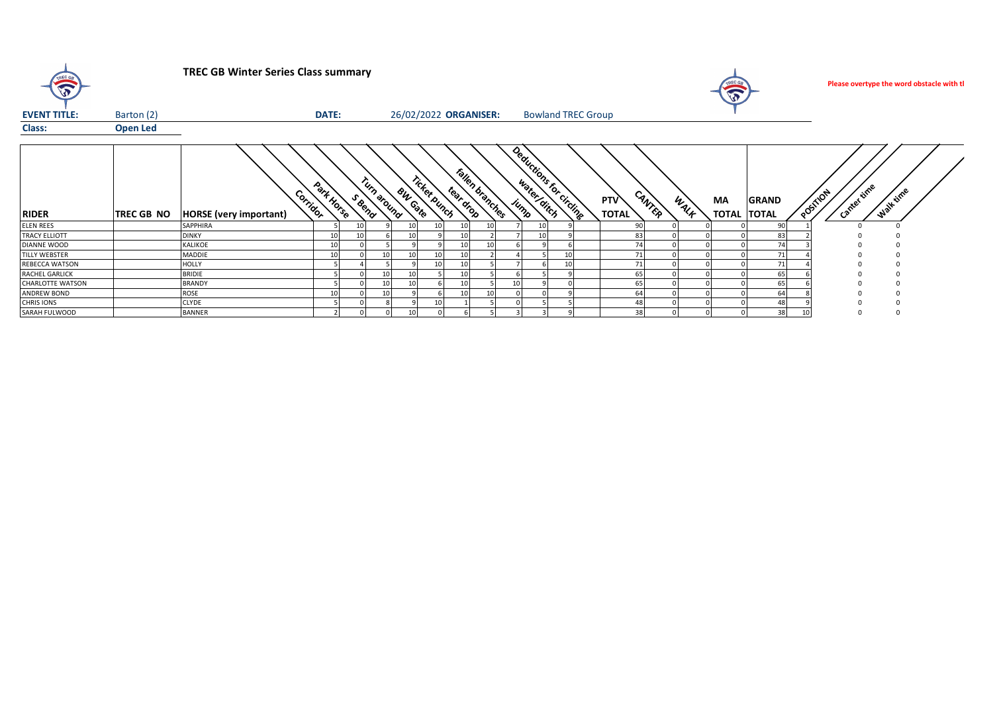| $\mathbf{v}$            |                 | <b>TREC GB Winter Series Class summary</b> |              |                      |                |              |                       |                 |                           |  |                     |        |      | $\sqrt{2}$               |              | Please overtype the word obstacle with tl |  |
|-------------------------|-----------------|--------------------------------------------|--------------|----------------------|----------------|--------------|-----------------------|-----------------|---------------------------|--|---------------------|--------|------|--------------------------|--------------|-------------------------------------------|--|
| <b>EVENT TITLE:</b>     | Barton (2)      |                                            | <b>DATE:</b> |                      |                |              | 26/02/2022 ORGANISER: |                 | <b>Bowland TREC Group</b> |  |                     |        |      |                          |              |                                           |  |
| Class:                  | <b>Open Led</b> |                                            |              |                      |                |              |                       |                 |                           |  |                     |        |      |                          |              |                                           |  |
| <b>RIDER</b>            | TREC GB NO      | Corridor<br><b>HORSE</b> (very important)  | Park Horse   | Turn around<br>SBend | <b>BW Gate</b> | ricket bunch | tear drop             | Fallen branches | Deductions for cricing    |  | PTV<br><b>TOTAL</b> | CANTER | WALF | MA<br><b>TOTAL TOTAL</b> | <b>GRAND</b> | Cantertime<br>Walk time<br>POSITION       |  |
| <b>ELEN REES</b>        |                 | SAPPHIRA                                   |              |                      |                |              |                       |                 |                           |  | 90                  |        |      |                          | 90           |                                           |  |
| <b>TRACY ELLIOTT</b>    |                 | <b>DINKY</b>                               | 10           |                      |                |              |                       |                 |                           |  | 83                  |        |      |                          | 83           |                                           |  |
| DIANNE WOOD             |                 | <b>KALIKOE</b>                             | 10           |                      |                |              |                       |                 |                           |  | 74                  |        |      |                          | 74           |                                           |  |
| TILLY WEBSTER           |                 | <b>MADDIE</b>                              | 10           |                      | 10             | 10           |                       |                 |                           |  | 71                  |        |      |                          | 71           |                                           |  |
| REBECCA WATSON          |                 | <b>HOLLY</b>                               |              |                      |                | 10           | 10                    |                 |                           |  | 71                  |        |      |                          | 71           |                                           |  |
| RACHEL GARLICK          |                 | <b>BRIDIE</b>                              |              | 10                   |                |              |                       |                 |                           |  | 65                  |        |      |                          | 65           |                                           |  |
| <b>CHARLOTTE WATSON</b> |                 | <b>BRANDY</b>                              |              |                      |                |              | 10                    |                 |                           |  | 65                  |        |      |                          | 65           |                                           |  |
| ANDREW BOND             |                 | <b>ROSE</b>                                | 10           | 10                   |                |              | 10                    |                 |                           |  | 64                  |        |      |                          | 64           |                                           |  |
| CHRIS IONS              |                 | <b>CLYDE</b>                               |              |                      |                | 10           |                       |                 |                           |  | 48                  |        |      |                          | 48           |                                           |  |
| SARAH FULWOOD           |                 | <b>BANNER</b>                              |              |                      | 10             |              |                       |                 |                           |  | 38                  |        |      |                          | 38           |                                           |  |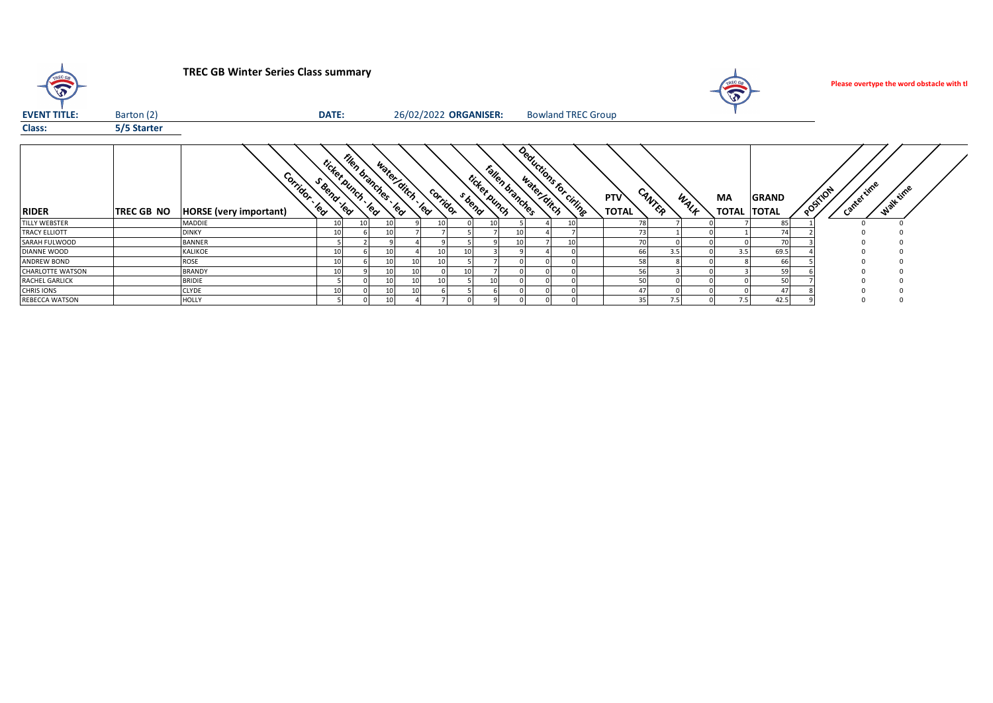| $\mathbf{v}$            | <b>TREC GB Winter Series Class summary</b> |                                    |                                                 |                      |                      |                       |          |        |                                 |                 |                           |  |  | $\mathbf{v}$        |                  | Please overtype the word obstacle with tl |                          |              |                                          |  |
|-------------------------|--------------------------------------------|------------------------------------|-------------------------------------------------|----------------------|----------------------|-----------------------|----------|--------|---------------------------------|-----------------|---------------------------|--|--|---------------------|------------------|-------------------------------------------|--------------------------|--------------|------------------------------------------|--|
| <b>EVENT TITLE:</b>     | Barton (2)                                 |                                    | DATE:                                           |                      |                      | 26/02/2022 ORGANISER: |          |        |                                 |                 | <b>Bowland TREC Group</b> |  |  |                     |                  |                                           |                          |              |                                          |  |
| Class:                  | 5/5 Starter                                |                                    |                                                 |                      |                      |                       |          |        |                                 |                 |                           |  |  |                     |                  |                                           |                          |              |                                          |  |
| <b>RIDER</b>            | <b>TREC GB NO</b>                          | Corridor<br>HORSE (very important) | <sup>rick</sup> er<br>- Beno<br><b>Executed</b> | Epunch<br><b>YOU</b> | Flen branches<br>′ଙ୍ | water ditch . lea     | corridor | s beno | Fallen branches<br>ticket punch |                 | Deductions to clining     |  |  | PTV<br><b>TOTAL</b> | CANTER           | WALK                                      | MA<br><b>TOTAL TOTAL</b> | <b>GRAND</b> | , time<br>Walt time<br>POSTFOR<br>Cantel |  |
| <b>TILLY WEBSTER</b>    |                                            | <b>MADDIE</b>                      |                                                 |                      |                      |                       |          |        |                                 |                 |                           |  |  |                     |                  |                                           |                          | 85           |                                          |  |
| <b>TRACY ELLIOTT</b>    |                                            | <b>DINKY</b>                       | 10                                              |                      |                      |                       |          |        |                                 | 10 <sup>1</sup> |                           |  |  | 73                  |                  |                                           |                          | 74           |                                          |  |
| SARAH FULWOOD           |                                            | <b>BANNER</b>                      |                                                 |                      |                      |                       |          |        |                                 | 10 <sup>1</sup> |                           |  |  | 70                  |                  |                                           |                          | 70           |                                          |  |
| DIANNE WOOD             |                                            | <b>KALIKOE</b>                     |                                                 |                      |                      |                       |          |        |                                 |                 |                           |  |  | 66                  | 3.5 <sub>1</sub> |                                           | 3.5                      | 69.5         |                                          |  |
| ANDREW BOND             |                                            | ROSE                               |                                                 |                      |                      |                       |          |        |                                 |                 |                           |  |  | 58                  |                  |                                           |                          | 66           |                                          |  |
| <b>CHARLOTTE WATSON</b> |                                            | <b>BRANDY</b>                      |                                                 |                      |                      |                       |          |        |                                 |                 |                           |  |  | 56                  |                  |                                           |                          | 59           |                                          |  |
| RACHEL GARLICK          |                                            | <b>BRIDIE</b>                      |                                                 |                      |                      |                       |          |        |                                 |                 |                           |  |  | 50                  |                  |                                           |                          | 50           |                                          |  |
| <b>CHRIS IONS</b>       |                                            | <b>CLYDE</b>                       |                                                 |                      |                      |                       |          |        |                                 |                 |                           |  |  | 47                  |                  |                                           |                          | $\mathbf{A}$ |                                          |  |
| REBECCA WATSON          |                                            | <b>HOLLY</b>                       |                                                 |                      |                      |                       |          |        |                                 |                 |                           |  |  | 35                  | 7.5              |                                           | 7.5                      | 42.5         |                                          |  |